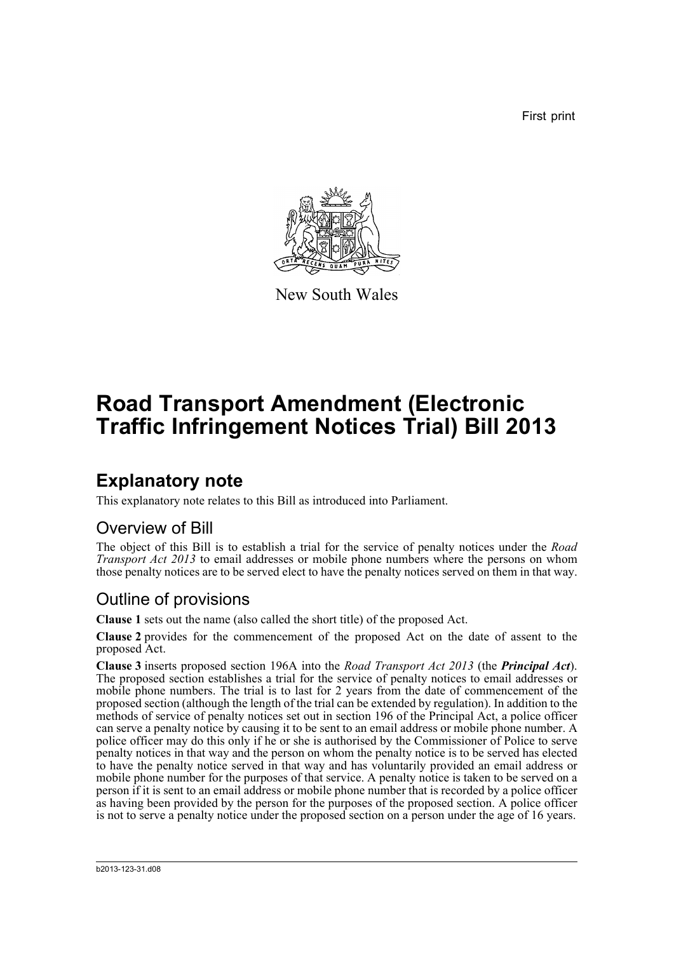First print



New South Wales

# **Road Transport Amendment (Electronic Traffic Infringement Notices Trial) Bill 2013**

## **Explanatory note**

This explanatory note relates to this Bill as introduced into Parliament.

#### Overview of Bill

The object of this Bill is to establish a trial for the service of penalty notices under the *Road Transport Act 2013* to email addresses or mobile phone numbers where the persons on whom those penalty notices are to be served elect to have the penalty notices served on them in that way.

#### Outline of provisions

**Clause 1** sets out the name (also called the short title) of the proposed Act.

**Clause 2** provides for the commencement of the proposed Act on the date of assent to the proposed Act.

**Clause 3** inserts proposed section 196A into the *Road Transport Act 2013* (the *Principal Act*). The proposed section establishes a trial for the service of penalty notices to email addresses or mobile phone numbers. The trial is to last for 2 years from the date of commencement of the proposed section (although the length of the trial can be extended by regulation). In addition to the methods of service of penalty notices set out in section 196 of the Principal Act, a police officer can serve a penalty notice by causing it to be sent to an email address or mobile phone number. A police officer may do this only if he or she is authorised by the Commissioner of Police to serve penalty notices in that way and the person on whom the penalty notice is to be served has elected to have the penalty notice served in that way and has voluntarily provided an email address or mobile phone number for the purposes of that service. A penalty notice is taken to be served on a person if it is sent to an email address or mobile phone number that is recorded by a police officer as having been provided by the person for the purposes of the proposed section. A police officer is not to serve a penalty notice under the proposed section on a person under the age of 16 years.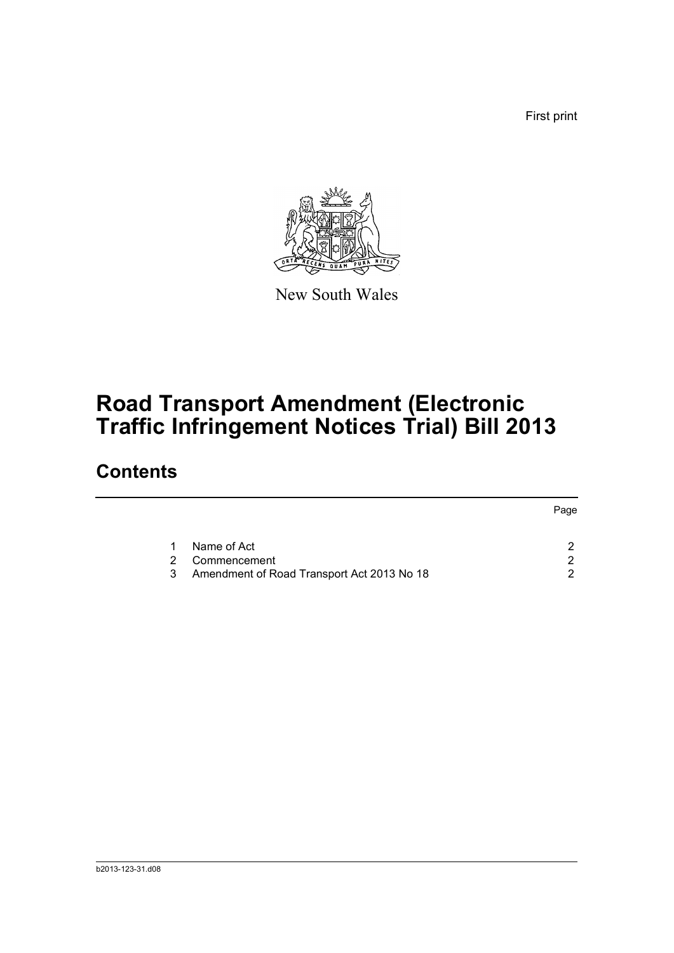First print



New South Wales

# **Road Transport Amendment (Electronic Traffic Infringement Notices Trial) Bill 2013**

## **Contents**

|   |                                            | Page |
|---|--------------------------------------------|------|
|   |                                            |      |
|   | Name of Act                                | ⌒    |
| 2 | Commencement                               | ◠    |
| 3 | Amendment of Road Transport Act 2013 No 18 |      |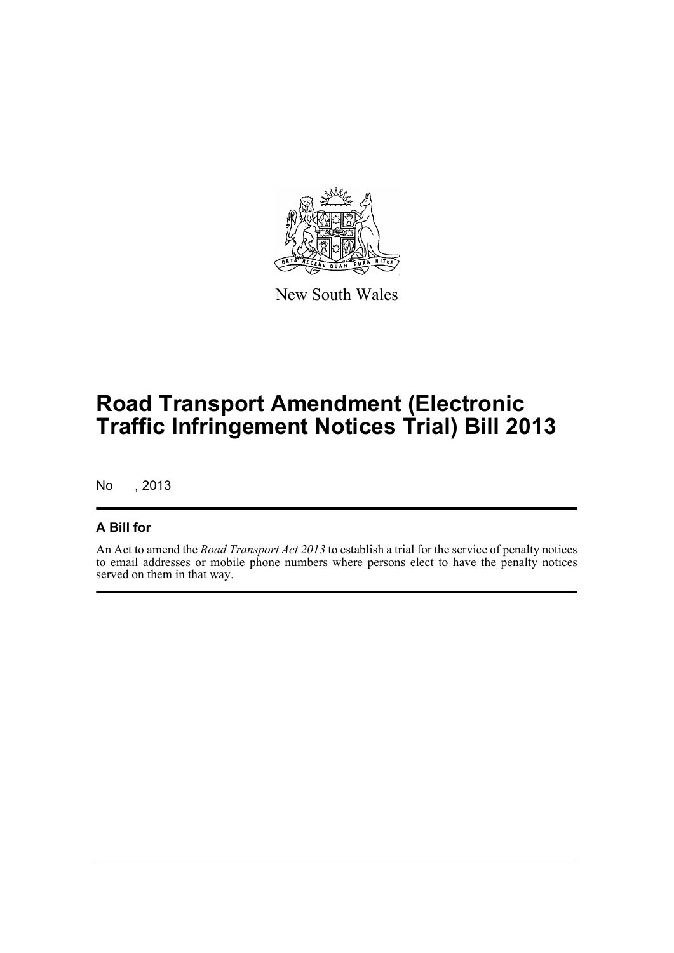

New South Wales

# **Road Transport Amendment (Electronic Traffic Infringement Notices Trial) Bill 2013**

No , 2013

#### **A Bill for**

An Act to amend the *Road Transport Act 2013* to establish a trial for the service of penalty notices to email addresses or mobile phone numbers where persons elect to have the penalty notices served on them in that way.